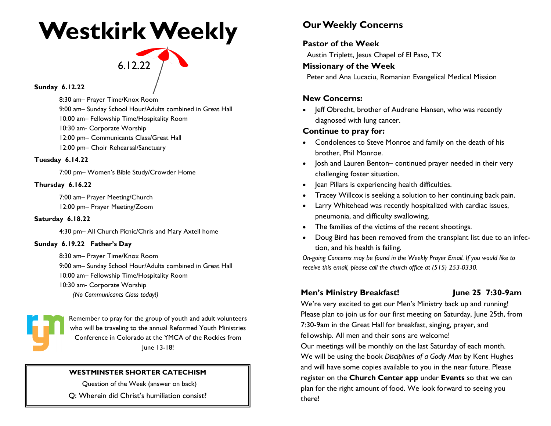## **Westkirk Weekly**

# 6.12.22

**Sunday 6.12.22** 

8:30 am– Prayer Time/Knox Room

9:00 am– Sunday School Hour/Adults combined in Great Hall

10:00 am– Fellowship Time/Hospitality Room

10:30 am- Corporate Worship

12:00 pm– Communicants Class/Great Hall

12:00 pm– Choir Rehearsal/Sanctuary

#### **Tuesday 6.14.22**

7:00 pm– Women's Bible Study/Crowder Home

#### **Thursday 6.16.22**

7:00 am– Prayer Meeting/Church 12:00 pm– Prayer Meeting/Zoom

#### **Saturday 6.18.22**

4:30 pm– All Church Picnic/Chris and Mary Axtell home

#### **Sunday 6.19.22 Father's Day**

8:30 am– Prayer Time/Knox Room 9:00 am– Sunday School Hour/Adults combined in Great Hall 10:00 am– Fellowship Time/Hospitality Room 10:30 am- Corporate Worship *(No Communicants Class today!)*



Remember to pray for the group of youth and adult volunteers who will be traveling to the annual Reformed Youth Ministries Conference in Colorado at the YMCA of the Rockies from June 13-18!

#### **WESTMINSTER SHORTER CATECHISM**

Question of the Week (answer on back)

Q: Wherein did Christ's humiliation consist?

## **Our Weekly Concerns**

### **Pastor of the Week**

Austin Triplett, Jesus Chapel of El Paso, TX

#### **Missionary of the Week**

Peter and Ana Lucaciu, Romanian Evangelical Medical Mission

#### **New Concerns:**

• Jeff Obrecht, brother of Audrene Hansen, who was recently diagnosed with lung cancer.

### **Continue to pray for:**

- Condolences to Steve Monroe and family on the death of his brother, Phil Monroe.
- Josh and Lauren Benton– continued prayer needed in their very challenging foster situation.
- Jean Pillars is experiencing health difficulties.
- Tracey Willcox is seeking a solution to her continuing back pain.
- Larry Whitehead was recently hospitalized with cardiac issues, pneumonia, and difficulty swallowing.
- The families of the victims of the recent shootings.
- Doug Bird has been removed from the transplant list due to an infection, and his health is failing.

*On-going Concerns may be found in the Weekly Prayer Email. If you would like to receive this email, please call the church office at (515) 253-0330.*

### **Men's Ministry Breakfast!** June 25 7:30-9am

We're very excited to get our Men's Ministry back up and running! Please plan to join us for our first meeting on Saturday, June 25th, from 7:30-9am in the Great Hall for breakfast, singing, prayer, and fellowship. All men and their sons are welcome!

Our meetings will be monthly on the last Saturday of each month. We will be using the book *Disciplines of a Godly Man* by Kent Hughes and will have some copies available to you in the near future. Please register on the **Church Center app** under **Events** so that we can plan for the right amount of food. We look forward to seeing you there!